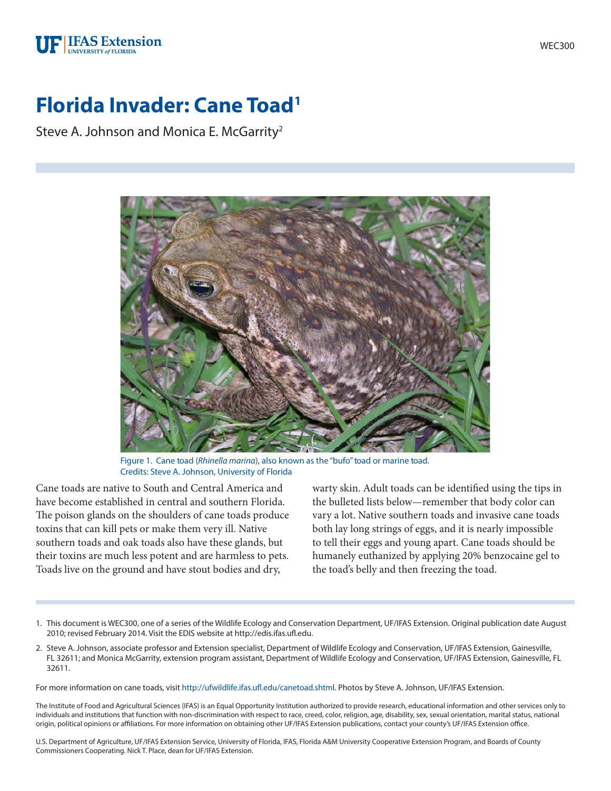## **UF IFAS Extension**

# **Florida Invader: Cane Toad1**

Steve A. Johnson and Monica E. McGarrity<sup>2</sup>



Figure 1. Cane toad (*Rhinella marina*), also known as the "bufo" toad or marine toad. Credits: Steve A. Johnson, University of Florida

Cane toads are native to South and Central America and have become established in central and southern Florida. The poison glands on the shoulders of cane toads produce toxins that can kill pets or make them very ill. Native southern toads and oak toads also have these glands, but their toxins are much less potent and are harmless to pets. Toads live on the ground and have stout bodies and dry,

warty skin. Adult toads can be identified using the tips in the bulleted lists below—remember that body color can vary a lot. Native southern toads and invasive cane toads both lay long strings of eggs, and it is nearly impossible to tell their eggs and young apart. Cane toads should be humanely euthanized by applying 20% benzocaine gel to the toad's belly and then freezing the toad.

- 1. This document is WEC300, one of a series of the Wildlife Ecology and Conservation Department, UF/IFAS Extension. Original publication date August 2010; revised February 2014. Visit the EDIS website at http://edis.ifas.ufl.edu.
- 2. Steve A. Johnson, associate professor and Extension specialist, Department of Wildlife Ecology and Conservation, UF/IFAS Extension, Gainesville, FL 32611; and Monica McGarrity, extension program assistant, Department of Wildlife Ecology and Conservation, UF/IFAS Extension, Gainesville, FL 32611.

For more information on cane toads, visit http://ufwildlife.ifas.ufl.edu/canetoad.shtml. Photos by Steve A. Johnson, UF/IFAS Extension.

The Institute of Food and Agricultural Sciences (IFAS) is an Equal Opportunity Institution authorized to provide research, educational information and other services only to individuals and institutions that function with non-discrimination with respect to race, creed, color, religion, age, disability, sex, sexual orientation, marital status, national origin, political opinions or affiliations. For more information on obtaining other UF/IFAS Extension publications, contact your county's UF/IFAS Extension office.

U.S. Department of Agriculture, UF/IFAS Extension Service, University of Florida, IFAS, Florida A&M University Cooperative Extension Program, and Boards of County Commissioners Cooperating. Nick T. Place, dean for UF/IFAS Extension.